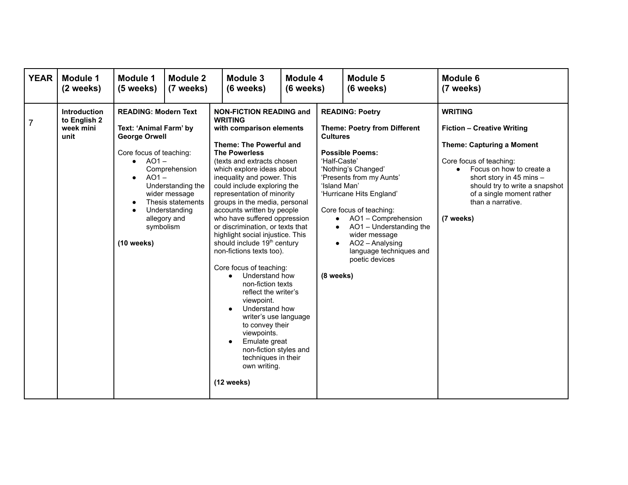| <b>YEAR</b>    | <b>Module 1</b><br>(2 weeks)                             | Module 1<br>(5 weeks)                                                                                                                                                            | Module 2<br>(7 weeks)                                                                                     |                                                                       | Module 3<br>(6 weeks)                                                                                                                                                                                                                                                                                                                                                                                                                                                                                                                                                                                                                                                                                                                                                                           | Module 4<br>(6 weeks) |                                                                                                     | Module 5<br>(6 weeks)                                                                                                                                                                                                                                                                                                                | <b>Module 6</b><br>(7 weeks)                                                                                                                                                                                                                                                             |
|----------------|----------------------------------------------------------|----------------------------------------------------------------------------------------------------------------------------------------------------------------------------------|-----------------------------------------------------------------------------------------------------------|-----------------------------------------------------------------------|-------------------------------------------------------------------------------------------------------------------------------------------------------------------------------------------------------------------------------------------------------------------------------------------------------------------------------------------------------------------------------------------------------------------------------------------------------------------------------------------------------------------------------------------------------------------------------------------------------------------------------------------------------------------------------------------------------------------------------------------------------------------------------------------------|-----------------------|-----------------------------------------------------------------------------------------------------|--------------------------------------------------------------------------------------------------------------------------------------------------------------------------------------------------------------------------------------------------------------------------------------------------------------------------------------|------------------------------------------------------------------------------------------------------------------------------------------------------------------------------------------------------------------------------------------------------------------------------------------|
| $\overline{7}$ | <b>Introduction</b><br>to English 2<br>week mini<br>unit | <b>READING: Modern Text</b><br>Text: 'Animal Farm' by<br><b>George Orwell</b><br>Core focus of teaching:<br>$\bullet$ AO1 -<br>$AO1 -$<br>$\bullet$<br>symbolism<br>$(10$ weeks) | Comprehension<br>Understanding the<br>wider message<br>Thesis statements<br>Understanding<br>allegory and | <b>WRITING</b><br>$\bullet$<br>$\bullet$<br>$\bullet$<br>$(12$ weeks) | <b>NON-FICTION READING and</b><br>with comparison elements<br><b>Theme: The Powerful and</b><br><b>The Powerless</b><br>(texts and extracts chosen<br>which explore ideas about<br>inequality and power. This<br>could include exploring the<br>representation of minority<br>groups in the media, personal<br>accounts written by people<br>who have suffered oppression<br>or discrimination, or texts that<br>highlight social injustice. This<br>should include 19 <sup>th</sup> century<br>non-fictions texts too).<br>Core focus of teaching:<br>Understand how<br>non-fiction texts<br>reflect the writer's<br>viewpoint.<br>Understand how<br>writer's use language<br>to convey their<br>viewpoints.<br>Emulate great<br>non-fiction styles and<br>techniques in their<br>own writing. |                       | <b>Cultures</b><br>'Half-Caste'<br>'Island Man'<br>$\bullet$<br>$\bullet$<br>$\bullet$<br>(8 weeks) | <b>READING: Poetry</b><br><b>Theme: Poetry from Different</b><br><b>Possible Poems:</b><br>'Nothing's Changed'<br>'Presents from my Aunts'<br>'Hurricane Hits England'<br>Core focus of teaching:<br>AO1 - Comprehension<br>AO1 - Understanding the<br>wider message<br>AO2 - Analysing<br>language techniques and<br>poetic devices | <b>WRITING</b><br><b>Fiction - Creative Writing</b><br><b>Theme: Capturing a Moment</b><br>Core focus of teaching:<br>Focus on how to create a<br>$\bullet$<br>short story in 45 mins -<br>should try to write a snapshot<br>of a single moment rather<br>than a narrative.<br>(7 weeks) |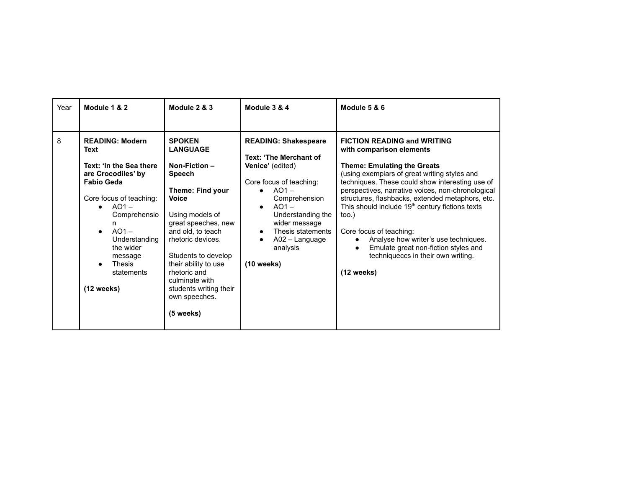| Year | Module 1 & 2                                                                                                                                                                                                                                                               | Module 2 & 3                                                                                                                                                                                                                                                                                                                       | Module 3 & 4                                                                                                                                                                                                                                                                   | Module 5 & 6                                                                                                                                                                                                                                                                                                                                                                                                                                                                                                                                              |
|------|----------------------------------------------------------------------------------------------------------------------------------------------------------------------------------------------------------------------------------------------------------------------------|------------------------------------------------------------------------------------------------------------------------------------------------------------------------------------------------------------------------------------------------------------------------------------------------------------------------------------|--------------------------------------------------------------------------------------------------------------------------------------------------------------------------------------------------------------------------------------------------------------------------------|-----------------------------------------------------------------------------------------------------------------------------------------------------------------------------------------------------------------------------------------------------------------------------------------------------------------------------------------------------------------------------------------------------------------------------------------------------------------------------------------------------------------------------------------------------------|
| 8    | <b>READING: Modern</b><br><b>Text</b><br>Text: 'In the Sea there<br>are Crocodiles' by<br><b>Fabio Geda</b><br>Core focus of teaching:<br>$AO1 -$<br>Comprehensio<br>n.<br>$AO1 -$<br>Understanding<br>the wider<br>message<br><b>Thesis</b><br>statements<br>$(12$ weeks) | <b>SPOKEN</b><br><b>LANGUAGE</b><br>Non-Fiction-<br><b>Speech</b><br>Theme: Find your<br><b>Voice</b><br>Using models of<br>great speeches, new<br>and old, to teach<br>rhetoric devices.<br>Students to develop<br>their ability to use<br>rhetoric and<br>culminate with<br>students writing their<br>own speeches.<br>(5 weeks) | <b>READING: Shakespeare</b><br>Text: 'The Merchant of<br>Venice' (edited)<br>Core focus of teaching:<br>$AO1 -$<br>$\bullet$<br>Comprehension<br>$AO1 -$<br>Understanding the<br>wider message<br>Thesis statements<br>$\bullet$<br>A02 - Language<br>analysis<br>$(10$ weeks) | <b>FICTION READING and WRITING</b><br>with comparison elements<br><b>Theme: Emulating the Greats</b><br>(using exemplars of great writing styles and<br>techniques. These could show interesting use of<br>perspectives, narrative voices, non-chronological<br>structures, flashbacks, extended metaphors, etc.<br>This should include 19 <sup>th</sup> century fictions texts<br>too.)<br>Core focus of teaching:<br>Analyse how writer's use techniques.<br>Emulate great non-fiction styles and<br>techniqueccs in their own writing.<br>$(12$ weeks) |